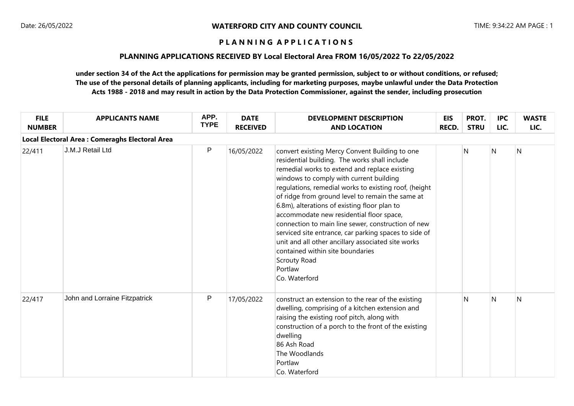### **PLANNING APPLICATIONS RECEIVED BY Local Electoral Area FROM 16/05/2022 To 22/05/2022**

| <b>FILE</b><br><b>NUMBER</b> | <b>APPLICANTS NAME</b>                          | APP.<br><b>TYPE</b> | <b>DATE</b><br><b>RECEIVED</b> | <b>DEVELOPMENT DESCRIPTION</b><br><b>AND LOCATION</b>                                                                                                                                                                                                                                                                                                                                                                                                                                                                                                                                                                                                     | <b>EIS</b><br><b>RECD.</b> | PROT.<br><b>STRU</b> | <b>IPC</b><br>LIC. | <b>WASTE</b><br>LIC. |
|------------------------------|-------------------------------------------------|---------------------|--------------------------------|-----------------------------------------------------------------------------------------------------------------------------------------------------------------------------------------------------------------------------------------------------------------------------------------------------------------------------------------------------------------------------------------------------------------------------------------------------------------------------------------------------------------------------------------------------------------------------------------------------------------------------------------------------------|----------------------------|----------------------|--------------------|----------------------|
|                              | Local Electoral Area : Comeraghs Electoral Area |                     |                                |                                                                                                                                                                                                                                                                                                                                                                                                                                                                                                                                                                                                                                                           |                            |                      |                    |                      |
| 22/411                       | J.M.J Retail Ltd                                | P                   | 16/05/2022                     | convert existing Mercy Convent Building to one<br>residential building. The works shall include<br>remedial works to extend and replace existing<br>windows to comply with current building<br>regulations, remedial works to existing roof, (height<br>of ridge from ground level to remain the same at<br>6.8m), alterations of existing floor plan to<br>accommodate new residential floor space,<br>connection to main line sewer, construction of new<br>serviced site entrance, car parking spaces to side of<br>unit and all other ancillary associated site works<br>contained within site boundaries<br>Scrouty Road<br>Portlaw<br>Co. Waterford |                            | N                    | $\mathsf{N}$       | N                    |
| 22/417                       | John and Lorraine Fitzpatrick                   | P                   | 17/05/2022                     | construct an extension to the rear of the existing<br>dwelling, comprising of a kitchen extension and<br>raising the existing roof pitch, along with<br>construction of a porch to the front of the existing<br>dwelling<br>86 Ash Road<br>The Woodlands<br>Portlaw<br>Co. Waterford                                                                                                                                                                                                                                                                                                                                                                      |                            | N                    | $\mathsf{N}$       | $\overline{N}$       |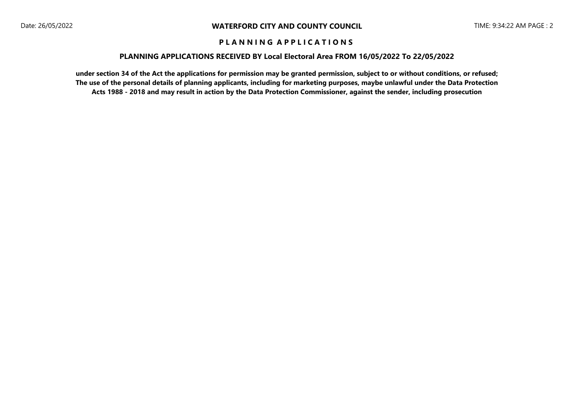### **PLANNING APPLICATIONS RECEIVED BY Local Electoral Area FROM 16/05/2022 To 22/05/2022**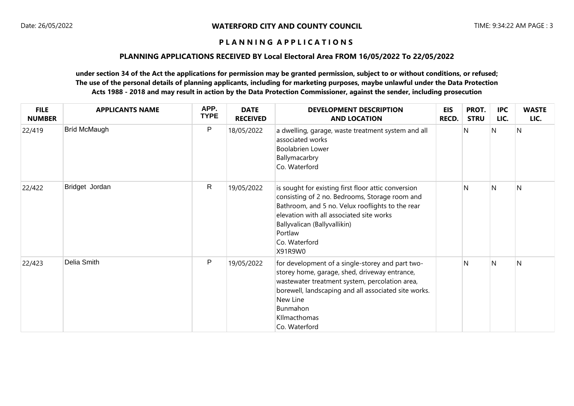### **PLANNING APPLICATIONS RECEIVED BY Local Electoral Area FROM 16/05/2022 To 22/05/2022**

| <b>FILE</b><br><b>NUMBER</b> | <b>APPLICANTS NAME</b> | APP.<br><b>TYPE</b> | <b>DATE</b><br><b>RECEIVED</b> | <b>DEVELOPMENT DESCRIPTION</b><br><b>AND LOCATION</b>                                                                                                                                                                                                                        | <b>EIS</b><br>RECD. | PROT.<br><b>STRU</b> | <b>IPC</b><br>LIC. | <b>WASTE</b><br>LIC. |
|------------------------------|------------------------|---------------------|--------------------------------|------------------------------------------------------------------------------------------------------------------------------------------------------------------------------------------------------------------------------------------------------------------------------|---------------------|----------------------|--------------------|----------------------|
| 22/419                       | Bríd McMaugh           | P                   | 18/05/2022                     | a dwelling, garage, waste treatment system and all<br>associated works<br><b>Boolabrien Lower</b><br>Ballymacarbry<br>Co. Waterford                                                                                                                                          |                     | N                    | N                  | N                    |
| 22/422                       | Bridget Jordan         | $\mathsf{R}$        | 19/05/2022                     | is sought for existing first floor attic conversion<br>consisting of 2 no. Bedrooms, Storage room and<br>Bathroom, and 5 no. Velux rooflights to the rear<br>elevation with all associated site works<br>Ballyvalican (Ballyvallikin)<br>Portlaw<br>Co. Waterford<br>X91R9W0 |                     | N                    | N                  | N                    |
| 22/423                       | Delia Smith            | ${\sf P}$           | 19/05/2022                     | for development of a single-storey and part two-<br>storey home, garage, shed, driveway entrance,<br>wastewater treatment system, percolation area,<br>borewell, landscaping and all associated site works.<br>New Line<br>Bunmahon<br>Kllmacthomas<br>Co. Waterford         |                     | N                    | N                  | N                    |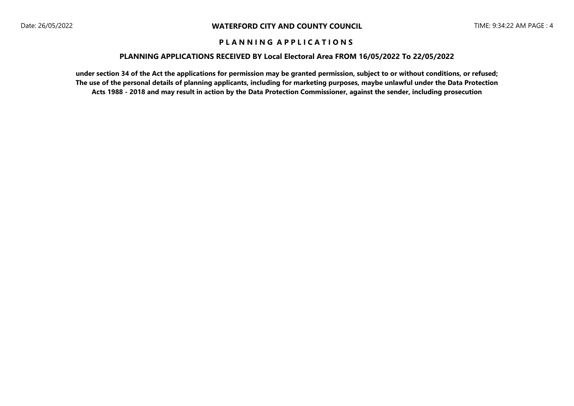### **PLANNING APPLICATIONS RECEIVED BY Local Electoral Area FROM 16/05/2022 To 22/05/2022**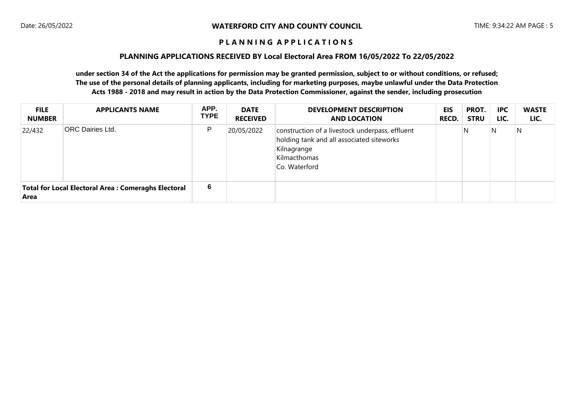### **PLANNING APPLICATIONS RECEIVED BY Local Electoral Area FROM 16/05/2022 To 22/05/2022**

| <b>FILE</b><br><b>NUMBER</b> | <b>APPLICANTS NAME</b>                               | APP.<br><b>TYPE</b> | <b>DATE</b><br><b>RECEIVED</b> | <b>DEVELOPMENT DESCRIPTION</b><br><b>AND LOCATION</b>                                                                                        | EIS<br><b>RECD.</b> | PROT.<br><b>STRU</b> | <b>IPC</b><br>LIC. | <b>WASTE</b><br>LIC. |
|------------------------------|------------------------------------------------------|---------------------|--------------------------------|----------------------------------------------------------------------------------------------------------------------------------------------|---------------------|----------------------|--------------------|----------------------|
| 22/432                       | <b>ORC Dairies Ltd.</b>                              | P                   | 20/05/2022                     | construction of a livestock underpass, effluent<br>holding tank and all associated siteworks<br>Kilnagrange<br>Kilmacthomas<br>Co. Waterford |                     | N                    | N                  | N                    |
| Area                         | Total for Local Electoral Area : Comeraghs Electoral | 6                   |                                |                                                                                                                                              |                     |                      |                    |                      |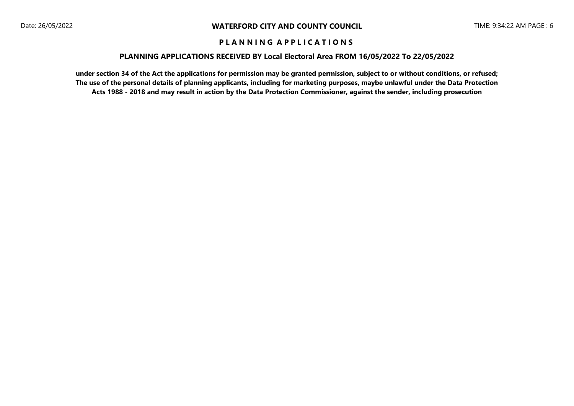### **PLANNING APPLICATIONS RECEIVED BY Local Electoral Area FROM 16/05/2022 To 22/05/2022**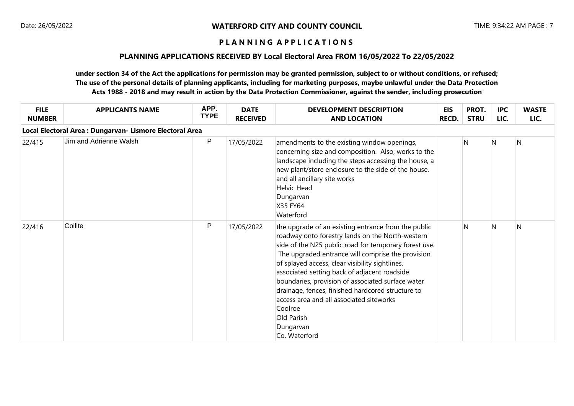### **PLANNING APPLICATIONS RECEIVED BY Local Electoral Area FROM 16/05/2022 To 22/05/2022**

| <b>FILE</b><br><b>NUMBER</b> | <b>APPLICANTS NAME</b>                                   | APP.<br><b>TYPE</b> | <b>DATE</b><br><b>RECEIVED</b> | <b>DEVELOPMENT DESCRIPTION</b><br><b>AND LOCATION</b>                                                                                                                                                                                                                                                                                                                                                                                                                                                                                 | EIS<br><b>RECD.</b> | PROT.<br><b>STRU</b> | <b>IPC</b><br>LIC. | <b>WASTE</b><br>LIC. |
|------------------------------|----------------------------------------------------------|---------------------|--------------------------------|---------------------------------------------------------------------------------------------------------------------------------------------------------------------------------------------------------------------------------------------------------------------------------------------------------------------------------------------------------------------------------------------------------------------------------------------------------------------------------------------------------------------------------------|---------------------|----------------------|--------------------|----------------------|
|                              | Local Electoral Area : Dungarvan- Lismore Electoral Area |                     |                                |                                                                                                                                                                                                                                                                                                                                                                                                                                                                                                                                       |                     |                      |                    |                      |
| 22/415                       | Jim and Adrienne Walsh                                   | ${\sf P}$           | 17/05/2022                     | amendments to the existing window openings,<br>concerning size and composition. Also, works to the<br>landscape including the steps accessing the house, a<br>new plant/store enclosure to the side of the house,<br>and all ancillary site works<br><b>Helvic Head</b><br>Dungarvan<br>X35 FY64<br>Waterford                                                                                                                                                                                                                         |                     | N                    | N                  | N                    |
| 22/416                       | Coillte                                                  | P                   | 17/05/2022                     | the upgrade of an existing entrance from the public<br>roadway onto forestry lands on the North-western<br>side of the N25 public road for temporary forest use.<br>The upgraded entrance will comprise the provision<br>of splayed access, clear visibility sightlines,<br>associated setting back of adjacent roadside<br>boundaries, provision of associated surface water<br>drainage, fences, finished hardcored structure to<br>access area and all associated siteworks<br>Coolroe<br>Old Parish<br>Dungarvan<br>Co. Waterford |                     | N                    | N                  | N                    |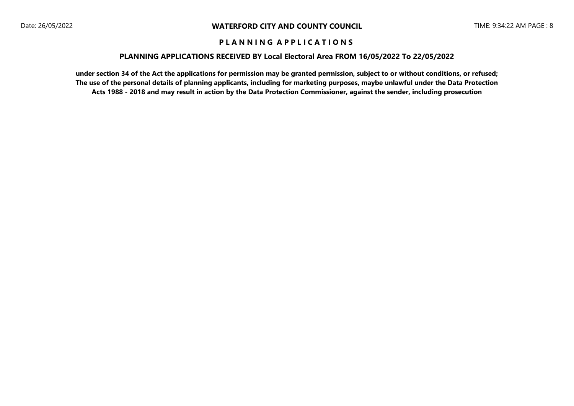### **PLANNING APPLICATIONS RECEIVED BY Local Electoral Area FROM 16/05/2022 To 22/05/2022**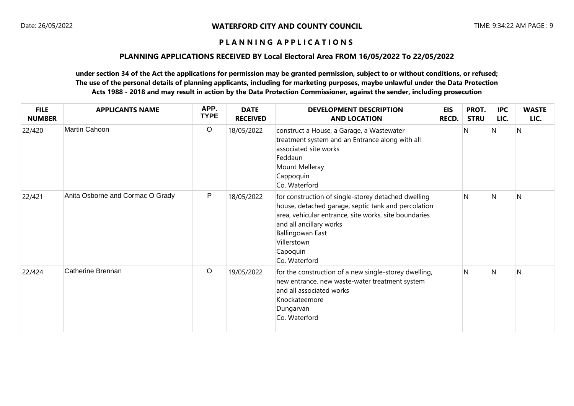# **PLANNING APPLICATIONS RECEIVED BY Local Electoral Area FROM 16/05/2022 To 22/05/2022**

| <b>FILE</b><br><b>NUMBER</b> | <b>APPLICANTS NAME</b>           | APP.<br><b>TYPE</b> | <b>DATE</b><br><b>RECEIVED</b> | <b>DEVELOPMENT DESCRIPTION</b><br><b>AND LOCATION</b>                                                                                                                                                                                                                 | <b>EIS</b><br>RECD. | PROT.<br><b>STRU</b> | <b>IPC</b><br>LIC. | <b>WASTE</b><br>LIC. |
|------------------------------|----------------------------------|---------------------|--------------------------------|-----------------------------------------------------------------------------------------------------------------------------------------------------------------------------------------------------------------------------------------------------------------------|---------------------|----------------------|--------------------|----------------------|
| 22/420                       | Martin Cahoon                    | $\circ$             | 18/05/2022                     | construct a House, a Garage, a Wastewater<br>treatment system and an Entrance along with all<br>associated site works<br>Feddaun<br>Mount Melleray<br>Cappoquin<br>Co. Waterford                                                                                      |                     | N                    | N                  | N                    |
| 22/421                       | Anita Osborne and Cormac O Grady | P                   | 18/05/2022                     | for construction of single-storey detached dwelling<br>house, detached garage, septic tank and percolation<br>area, vehicular entrance, site works, site boundaries<br>and all ancillary works<br><b>Ballingowan East</b><br>Villerstown<br>Capoquin<br>Co. Waterford |                     | N                    | N                  | N                    |
| 22/424                       | Catherine Brennan                | $\circ$             | 19/05/2022                     | for the construction of a new single-storey dwelling,<br>new entrance, new waste-water treatment system<br>and all associated works<br>Knockateemore<br>Dungarvan<br>Co. Waterford                                                                                    |                     | $\mathsf{N}$         | N                  | N                    |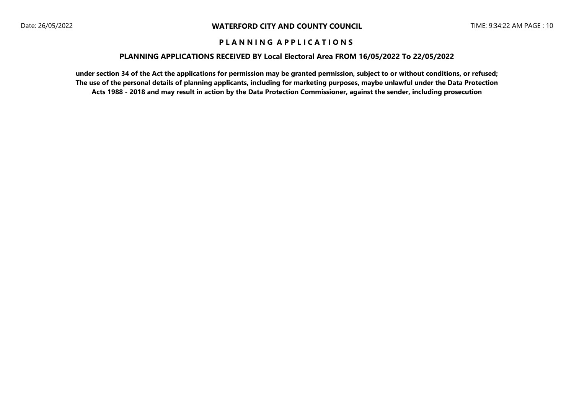### **PLANNING APPLICATIONS RECEIVED BY Local Electoral Area FROM 16/05/2022 To 22/05/2022**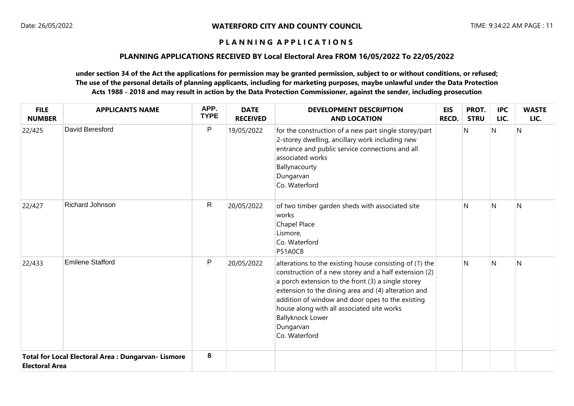### **PLANNING APPLICATIONS RECEIVED BY Local Electoral Area FROM 16/05/2022 To 22/05/2022**

| <b>FILE</b><br><b>NUMBER</b> | <b>APPLICANTS NAME</b>                              | APP.<br><b>TYPE</b> | <b>DATE</b><br><b>RECEIVED</b> | <b>DEVELOPMENT DESCRIPTION</b><br><b>AND LOCATION</b>                                                                                                                                                                                                                                                                                                                                    | <b>EIS</b><br><b>RECD.</b> | PROT.<br><b>STRU</b> | <b>IPC</b><br>LIC. | <b>WASTE</b><br>LIC. |
|------------------------------|-----------------------------------------------------|---------------------|--------------------------------|------------------------------------------------------------------------------------------------------------------------------------------------------------------------------------------------------------------------------------------------------------------------------------------------------------------------------------------------------------------------------------------|----------------------------|----------------------|--------------------|----------------------|
| 22/425                       | David Beresford                                     | $\mathsf{P}$        | 19/05/2022                     | for the construction of a new part single storey/part<br>2-storey dwelling, ancillary work including new<br>entrance and public service connections and all<br>associated works<br>Ballynacourty<br>Dungarvan<br>Co. Waterford                                                                                                                                                           |                            | N                    | N                  | N                    |
| 22/427                       | Richard Johnson                                     | $\mathsf{R}$        | 20/05/2022                     | of two timber garden sheds with associated site<br>works<br>Chapel Place<br>Lismore,<br>Co. Waterford<br><b>P51A0C8</b>                                                                                                                                                                                                                                                                  |                            | N                    | $\mathsf{N}$       | N                    |
| 22/433                       | <b>Emilene Stafford</b>                             | P                   | 20/05/2022                     | alterations to the existing house consisting of (1) the<br>construction of a new storey and a half extension (2)<br>a porch extension to the front (3) a single storey<br>extension to the dining area and (4) alteration and<br>addition of window and door opes to the existing<br>house along with all associated site works<br><b>Ballyknock Lower</b><br>Dungarvan<br>Co. Waterford |                            | N                    | $\mathsf{N}$       | N                    |
| <b>Electoral Area</b>        | Total for Local Electoral Area : Dungarvan- Lismore | 8                   |                                |                                                                                                                                                                                                                                                                                                                                                                                          |                            |                      |                    |                      |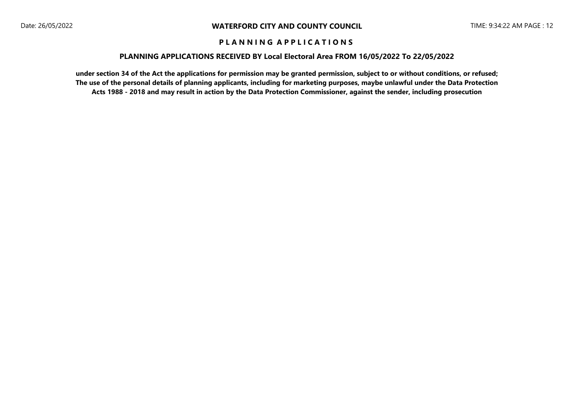### **PLANNING APPLICATIONS RECEIVED BY Local Electoral Area FROM 16/05/2022 To 22/05/2022**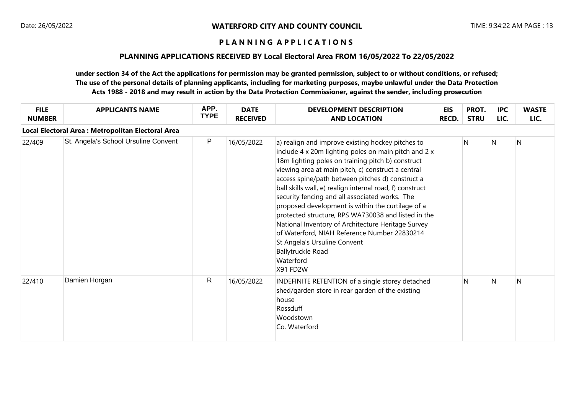### **PLANNING APPLICATIONS RECEIVED BY Local Electoral Area FROM 16/05/2022 To 22/05/2022**

| <b>FILE</b><br><b>NUMBER</b> | <b>APPLICANTS NAME</b>                             | APP.<br><b>TYPE</b> | <b>DATE</b><br><b>RECEIVED</b> | <b>DEVELOPMENT DESCRIPTION</b><br><b>AND LOCATION</b>                                                                                                                                                                                                                                                                                                                                                                                                                                                                                                                                                                                                                                         | <b>EIS</b><br><b>RECD.</b> | PROT.<br><b>STRU</b> | <b>IPC</b><br>LIC. | <b>WASTE</b><br>LIC. |
|------------------------------|----------------------------------------------------|---------------------|--------------------------------|-----------------------------------------------------------------------------------------------------------------------------------------------------------------------------------------------------------------------------------------------------------------------------------------------------------------------------------------------------------------------------------------------------------------------------------------------------------------------------------------------------------------------------------------------------------------------------------------------------------------------------------------------------------------------------------------------|----------------------------|----------------------|--------------------|----------------------|
|                              | Local Electoral Area : Metropolitan Electoral Area |                     |                                |                                                                                                                                                                                                                                                                                                                                                                                                                                                                                                                                                                                                                                                                                               |                            |                      |                    |                      |
| 22/409                       | St. Angela's School Ursuline Convent               | P                   | 16/05/2022                     | a) realign and improve existing hockey pitches to<br>include 4 x 20m lighting poles on main pitch and 2 x<br>18m lighting poles on training pitch b) construct<br>viewing area at main pitch, c) construct a central<br>access spine/path between pitches d) construct a<br>ball skills wall, e) realign internal road, f) construct<br>security fencing and all associated works. The<br>proposed development is within the curtilage of a<br>protected structure, RPS WA730038 and listed in the<br>National Inventory of Architecture Heritage Survey<br>of Waterford, NIAH Reference Number 22830214<br>St Angela's Ursuline Convent<br>Ballytruckle Road<br>Waterford<br><b>X91 FD2W</b> |                            | N                    | N.                 | IN.                  |
| 22/410                       | Damien Horgan                                      | R                   | 16/05/2022                     | INDEFINITE RETENTION of a single storey detached<br>shed/garden store in rear garden of the existing<br>house<br>Rossduff<br>Woodstown<br>Co. Waterford                                                                                                                                                                                                                                                                                                                                                                                                                                                                                                                                       |                            | N                    | N                  | N                    |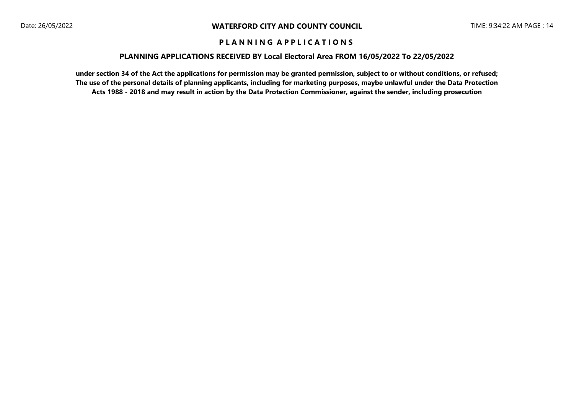### **PLANNING APPLICATIONS RECEIVED BY Local Electoral Area FROM 16/05/2022 To 22/05/2022**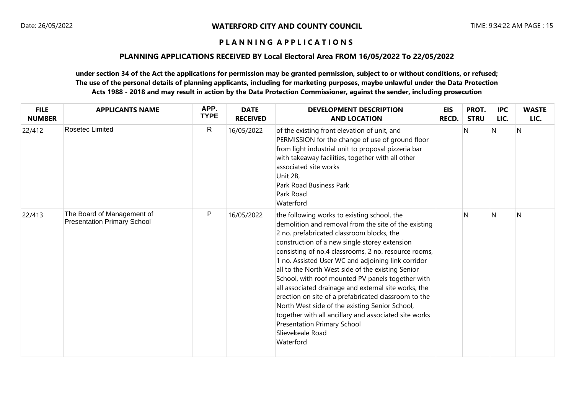### **PLANNING APPLICATIONS RECEIVED BY Local Electoral Area FROM 16/05/2022 To 22/05/2022**

| <b>FILE</b><br><b>NUMBER</b> | <b>APPLICANTS NAME</b>                                           | APP.<br><b>TYPE</b> | <b>DATE</b><br><b>RECEIVED</b> | <b>DEVELOPMENT DESCRIPTION</b><br><b>AND LOCATION</b>                                                                                                                                                                                                                                                                                                                                                                                                                                                                                                                                                                                                                                                                | <b>EIS</b><br>RECD. | PROT.<br><b>STRU</b> | <b>IPC</b><br>LIC. | <b>WASTE</b><br>LIC. |
|------------------------------|------------------------------------------------------------------|---------------------|--------------------------------|----------------------------------------------------------------------------------------------------------------------------------------------------------------------------------------------------------------------------------------------------------------------------------------------------------------------------------------------------------------------------------------------------------------------------------------------------------------------------------------------------------------------------------------------------------------------------------------------------------------------------------------------------------------------------------------------------------------------|---------------------|----------------------|--------------------|----------------------|
| 22/412                       | Rosetec Limited                                                  | $\mathsf{R}$        | 16/05/2022                     | of the existing front elevation of unit, and<br>PERMISSION for the change of use of ground floor<br>from light industrial unit to proposal pizzeria bar<br>with takeaway facilities, together with all other<br>associated site works<br>Unit 2B,<br><b>Park Road Business Park</b><br>Park Road<br>Waterford                                                                                                                                                                                                                                                                                                                                                                                                        |                     | N                    | N                  | $\mathsf{N}$         |
| 22/413                       | The Board of Management of<br><b>Presentation Primary School</b> | $\mathsf{P}$        | 16/05/2022                     | the following works to existing school, the<br>demolition and removal from the site of the existing<br>2 no. prefabricated classroom blocks, the<br>construction of a new single storey extension<br>consisting of no.4 classrooms, 2 no. resource rooms,<br>1 no. Assisted User WC and adjoining link corridor<br>all to the North West side of the existing Senior<br>School, with roof mounted PV panels together with<br>all associated drainage and external site works, the<br>erection on site of a prefabricated classroom to the<br>North West side of the existing Senior School,<br>together with all ancillary and associated site works<br>Presentation Primary School<br>Slievekeale Road<br>Waterford |                     | N                    | N                  | $\mathsf{N}$         |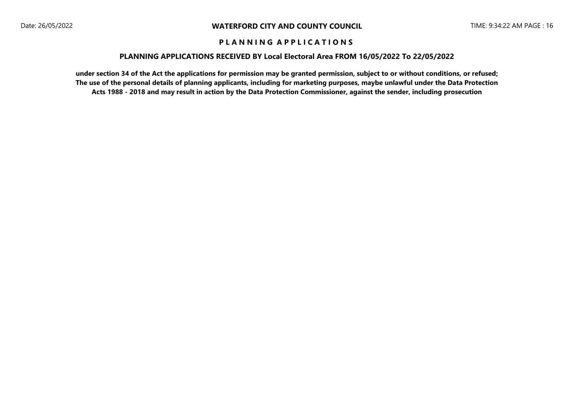### **PLANNING APPLICATIONS RECEIVED BY Local Electoral Area FROM 16/05/2022 To 22/05/2022**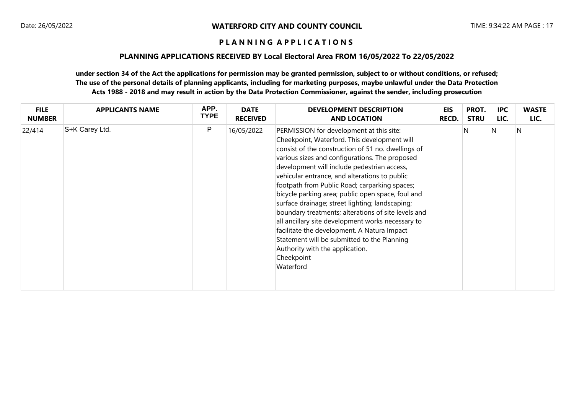### **PLANNING APPLICATIONS RECEIVED BY Local Electoral Area FROM 16/05/2022 To 22/05/2022**

| <b>FILE</b>   | <b>APPLICANTS NAME</b> | APP.        | <b>DATE</b>     | <b>DEVELOPMENT DESCRIPTION</b>                                                                                                                                                                                                                                                                                                                                                                                                                                                                                                                                                                                                                                                                                                    | <b>EIS</b>   | PROT.       | <b>IPC</b> | <b>WASTE</b> |
|---------------|------------------------|-------------|-----------------|-----------------------------------------------------------------------------------------------------------------------------------------------------------------------------------------------------------------------------------------------------------------------------------------------------------------------------------------------------------------------------------------------------------------------------------------------------------------------------------------------------------------------------------------------------------------------------------------------------------------------------------------------------------------------------------------------------------------------------------|--------------|-------------|------------|--------------|
| <b>NUMBER</b> |                        | <b>TYPE</b> | <b>RECEIVED</b> | <b>AND LOCATION</b>                                                                                                                                                                                                                                                                                                                                                                                                                                                                                                                                                                                                                                                                                                               | <b>RECD.</b> | <b>STRU</b> | LIC.       | LIC.         |
| 22/414        | S+K Carey Ltd.         | P           | 16/05/2022      | PERMISSION for development at this site:<br>Cheekpoint, Waterford. This development will<br>consist of the construction of 51 no. dwellings of<br>various sizes and configurations. The proposed<br>development will include pedestrian access,<br>vehicular entrance, and alterations to public<br>footpath from Public Road; carparking spaces;<br>bicycle parking area; public open space, foul and<br>surface drainage; street lighting; landscaping;<br>boundary treatments; alterations of site levels and<br>all ancillary site development works necessary to<br>facilitate the development. A Natura Impact<br>Statement will be submitted to the Planning<br>Authority with the application.<br>Cheekpoint<br>Waterford |              | N           | N          | N            |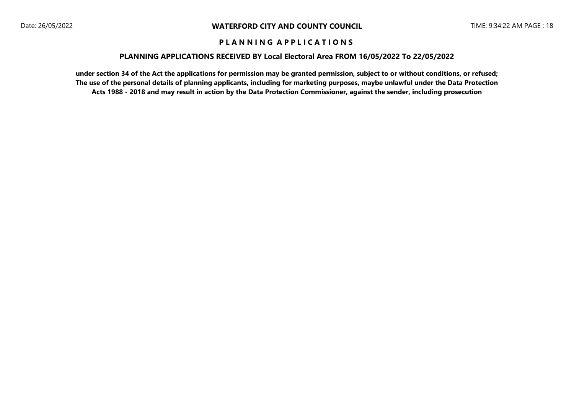### **PLANNING APPLICATIONS RECEIVED BY Local Electoral Area FROM 16/05/2022 To 22/05/2022**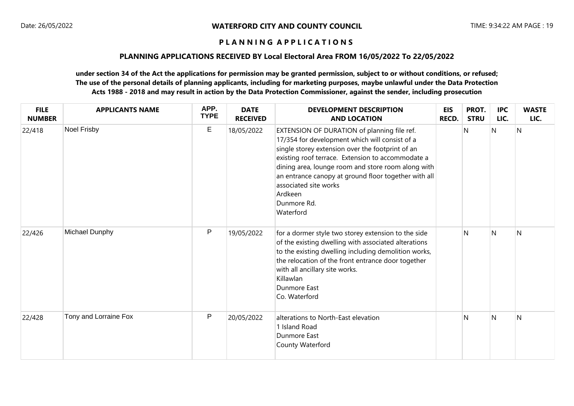# **PLANNING APPLICATIONS RECEIVED BY Local Electoral Area FROM 16/05/2022 To 22/05/2022**

| <b>FILE</b><br><b>NUMBER</b> | <b>APPLICANTS NAME</b> | APP.<br><b>TYPE</b> | <b>DATE</b><br><b>RECEIVED</b> | <b>DEVELOPMENT DESCRIPTION</b><br><b>AND LOCATION</b>                                                                                                                                                                                                                                                                                                                                | <b>EIS</b><br>RECD. | PROT.<br><b>STRU</b> | <b>IPC</b><br>LIC. | <b>WASTE</b><br>LIC. |
|------------------------------|------------------------|---------------------|--------------------------------|--------------------------------------------------------------------------------------------------------------------------------------------------------------------------------------------------------------------------------------------------------------------------------------------------------------------------------------------------------------------------------------|---------------------|----------------------|--------------------|----------------------|
| 22/418                       | Noel Frisby            | $\mathsf E$         | 18/05/2022                     | EXTENSION OF DURATION of planning file ref.<br>17/354 for development which will consist of a<br>single storey extension over the footprint of an<br>existing roof terrace. Extension to accommodate a<br>dining area, lounge room and store room along with<br>an entrance canopy at ground floor together with all<br>associated site works<br>Ardkeen<br>Dunmore Rd.<br>Waterford |                     | $\mathsf{N}$         | N                  | $\mathsf{N}$         |
| 22/426                       | Michael Dunphy         | $\mathsf{P}$        | 19/05/2022                     | for a dormer style two storey extension to the side<br>of the existing dwelling with associated alterations<br>to the existing dwelling including demolition works,<br>the relocation of the front entrance door together<br>with all ancillary site works.<br>Killawlan<br>Dunmore East<br>Co. Waterford                                                                            |                     | $\mathsf{N}$         | $\mathsf{N}$       | $\mathsf{N}$         |
| 22/428                       | Tony and Lorraine Fox  | P                   | 20/05/2022                     | alterations to North-East elevation<br>1 Island Road<br>Dunmore East<br>County Waterford                                                                                                                                                                                                                                                                                             |                     | $\mathsf{N}$         | $\mathsf{N}$       | $\mathsf{N}$         |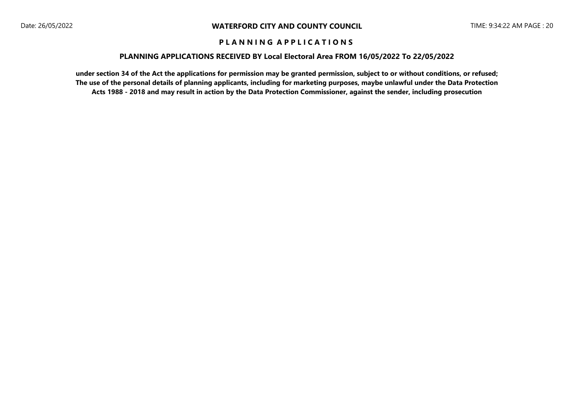### **PLANNING APPLICATIONS RECEIVED BY Local Electoral Area FROM 16/05/2022 To 22/05/2022**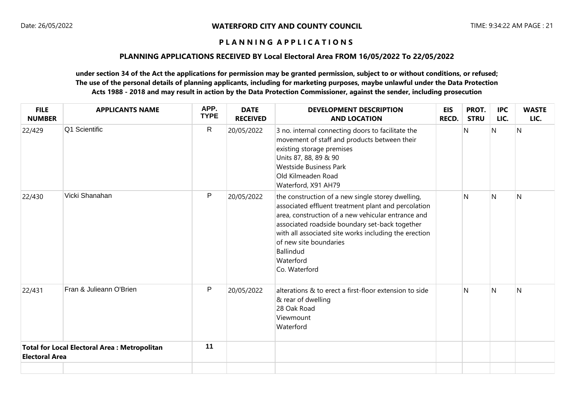### **PLANNING APPLICATIONS RECEIVED BY Local Electoral Area FROM 16/05/2022 To 22/05/2022**

| <b>FILE</b><br><b>NUMBER</b> | <b>APPLICANTS NAME</b>                              | APP.<br><b>TYPE</b> | <b>DATE</b><br><b>RECEIVED</b> | <b>DEVELOPMENT DESCRIPTION</b><br><b>AND LOCATION</b>                                                                                                                                                                                                                                                                                                 | <b>EIS</b><br><b>RECD.</b> | PROT.<br><b>STRU</b> | <b>IPC</b><br>LIC. | <b>WASTE</b><br>LIC. |
|------------------------------|-----------------------------------------------------|---------------------|--------------------------------|-------------------------------------------------------------------------------------------------------------------------------------------------------------------------------------------------------------------------------------------------------------------------------------------------------------------------------------------------------|----------------------------|----------------------|--------------------|----------------------|
| 22/429                       | Q1 Scientific                                       | $\mathsf{R}$        | 20/05/2022                     | 3 no. internal connecting doors to facilitate the<br>movement of staff and products between their<br>existing storage premises<br>Units 87, 88, 89 & 90<br><b>Westside Business Park</b><br>Old Kilmeaden Road<br>Waterford, X91 AH79                                                                                                                 |                            | N                    | N                  | N                    |
| 22/430                       | Vicki Shanahan                                      | P                   | 20/05/2022                     | the construction of a new single storey dwelling,<br>associated effluent treatment plant and percolation<br>area, construction of a new vehicular entrance and<br>associated roadside boundary set-back together<br>with all associated site works including the erection<br>of new site boundaries<br><b>Ballindud</b><br>Waterford<br>Co. Waterford |                            | N                    | $\mathsf{N}$       | N                    |
| 22/431                       | Fran & Julieann O'Brien                             | P                   | 20/05/2022                     | alterations & to erect a first-floor extension to side<br>& rear of dwelling<br>28 Oak Road<br>Viewmount<br>Waterford                                                                                                                                                                                                                                 |                            | N                    | $\mathsf{N}$       | N                    |
| <b>Electoral Area</b>        | <b>Total for Local Electoral Area: Metropolitan</b> | 11                  |                                |                                                                                                                                                                                                                                                                                                                                                       |                            |                      |                    |                      |
|                              |                                                     |                     |                                |                                                                                                                                                                                                                                                                                                                                                       |                            |                      |                    |                      |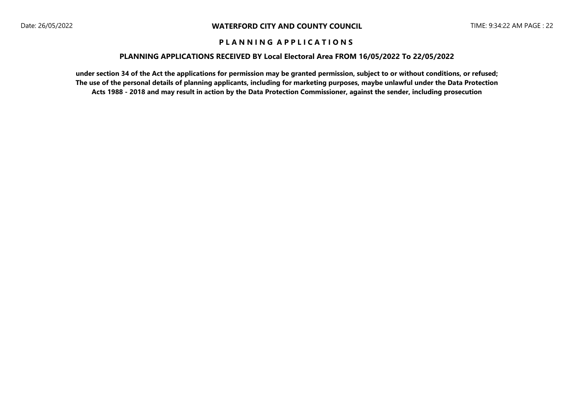### **PLANNING APPLICATIONS RECEIVED BY Local Electoral Area FROM 16/05/2022 To 22/05/2022**